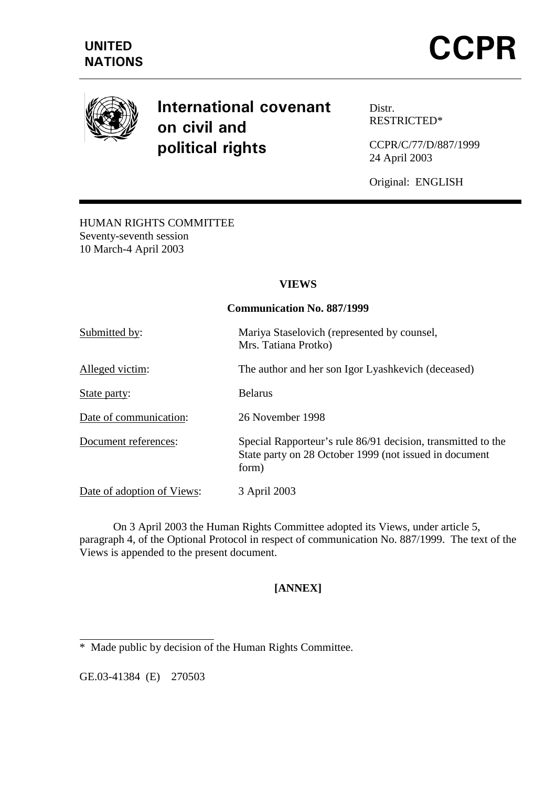

# **International covenant** on civil and political rights

Distr. RESTRICTED\*

CCPR/C/77/D/887/1999 24 April 2003

Original: ENGLISH

HUMAN RIGHTS COMMITTEE Seventy-seventh session 10 March-4 April 2003

## **VIEWS**

#### **Communication No. 887/1999**

| Submitted by:              | Mariya Staselovich (represented by counsel,<br>Mrs. Tatiana Protko)                                                             |
|----------------------------|---------------------------------------------------------------------------------------------------------------------------------|
| Alleged victim:            | The author and her son Igor Lyashkevich (deceased)                                                                              |
| State party:               | <b>Belarus</b>                                                                                                                  |
| Date of communication:     | 26 November 1998                                                                                                                |
| Document references:       | Special Rapporteur's rule 86/91 decision, transmitted to the<br>State party on 28 October 1999 (not issued in document<br>form) |
| Date of adoption of Views: | 3 April 2003                                                                                                                    |

 On 3 April 2003 the Human Rights Committee adopted its Views, under article 5, paragraph 4, of the Optional Protocol in respect of communication No. 887/1999. The text of the Views is appended to the present document.

# **[ANNEX]**

GE.03-41384 (E) 270503

 $\overline{a}$ 

<sup>\*</sup> Made public by decision of the Human Rights Committee.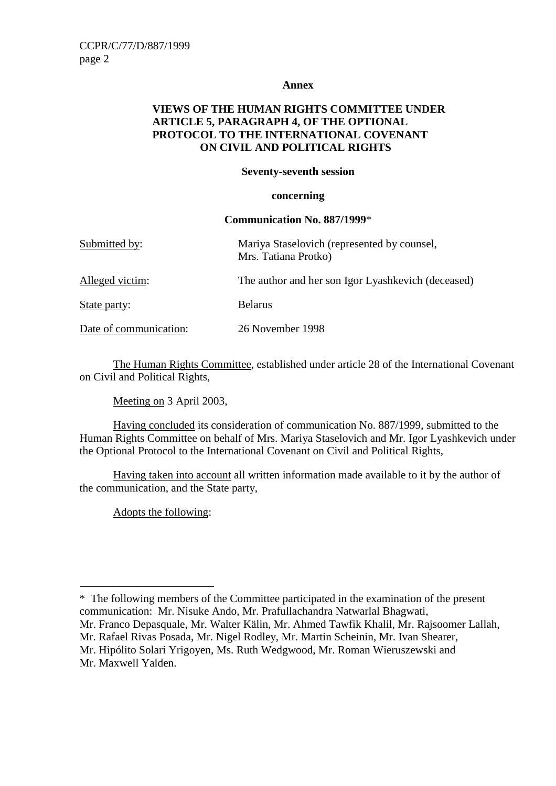#### **Annex**

## **VIEWS OF THE HUMAN RIGHTS COMMITTEE UNDER ARTICLE 5, PARAGRAPH 4, OF THE OPTIONAL PROTOCOL TO THE INTERNATIONAL COVENANT ON CIVIL AND POLITICAL RIGHTS**

#### **Seventy-seventh session**

#### **concerning**

#### **Communication No. 887/1999**\*

| Submitted by:          | Mariya Staselovich (represented by counsel,<br>Mrs. Tatiana Protko) |
|------------------------|---------------------------------------------------------------------|
| Alleged victim:        | The author and her son Igor Lyashkevich (deceased)                  |
| State party:           | <b>Belarus</b>                                                      |
| Date of communication: | 26 November 1998                                                    |

 The Human Rights Committee, established under article 28 of the International Covenant on Civil and Political Rights,

Meeting on 3 April 2003,

 Having concluded its consideration of communication No. 887/1999, submitted to the Human Rights Committee on behalf of Mrs. Mariya Staselovich and Mr. Igor Lyashkevich under the Optional Protocol to the International Covenant on Civil and Political Rights,

 Having taken into account all written information made available to it by the author of the communication, and the State party,

Adopts the following:

 $\overline{a}$ \* The following members of the Committee participated in the examination of the present communication: Mr. Nisuke Ando, Mr. Prafullachandra Natwarlal Bhagwati,

- Mr. Franco Depasquale, Mr. Walter Kälin, Mr. Ahmed Tawfik Khalil, Mr. Rajsoomer Lallah,
- Mr. Rafael Rivas Posada, Mr. Nigel Rodley, Mr. Martin Scheinin, Mr. Ivan Shearer, Mr. Hipólito Solari Yrigoyen, Ms. Ruth Wedgwood, Mr. Roman Wieruszewski and

Mr. Maxwell Yalden.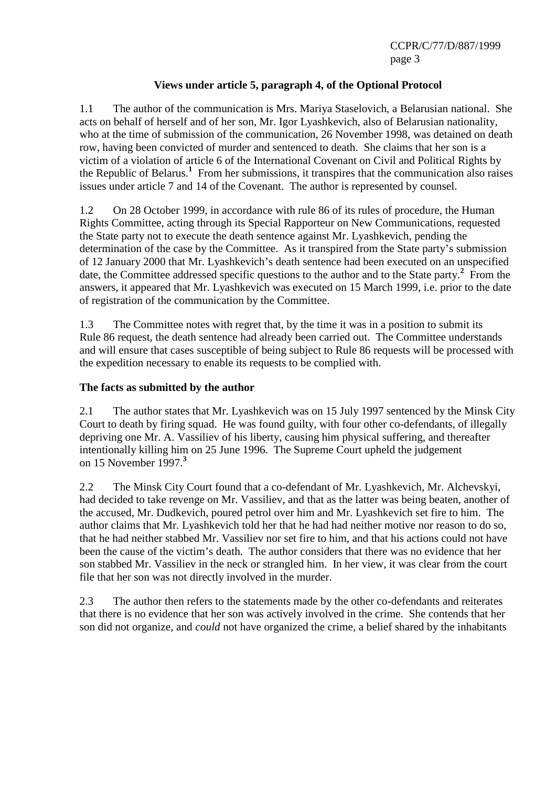# **Views under article 5, paragraph 4, of the Optional Protocol**

1.1 The author of the communication is Mrs. Mariya Staselovich, a Belarusian national. She acts on behalf of herself and of her son, Mr. Igor Lyashkevich, also of Belarusian nationality, who at the time of submission of the communication, 26 November 1998, was detained on death row, having been convicted of murder and sentenced to death. She claims that her son is a victim of a violation of article 6 of the International Covenant on Civil and Political Rights by the Republic of Belarus.**<sup>1</sup>** From her submissions, it transpires that the communication also raises issues under article 7 and 14 of the Covenant. The author is represented by counsel.

1.2 On 28 October 1999, in accordance with rule 86 of its rules of procedure, the Human Rights Committee, acting through its Special Rapporteur on New Communications, requested the State party not to execute the death sentence against Mr. Lyashkevich, pending the determination of the case by the Committee. As it transpired from the State party's submission of 12 January 2000 that Mr. Lyashkevich's death sentence had been executed on an unspecified date, the Committee addressed specific questions to the author and to the State party.<sup>2</sup> From the answers, it appeared that Mr. Lyashkevich was executed on 15 March 1999, i.e. prior to the date of registration of the communication by the Committee.

1.3 The Committee notes with regret that, by the time it was in a position to submit its Rule 86 request, the death sentence had already been carried out. The Committee understands and will ensure that cases susceptible of being subject to Rule 86 requests will be processed with the expedition necessary to enable its requests to be complied with.

#### **The facts as submitted by the author**

2.1 The author states that Mr. Lyashkevich was on 15 July 1997 sentenced by the Minsk City Court to death by firing squad. He was found guilty, with four other co-defendants, of illegally depriving one Mr. A. Vassiliev of his liberty, causing him physical suffering, and thereafter intentionally killing him on 25 June 1996. The Supreme Court upheld the judgement on 15 November 1997.**<sup>3</sup>**

2.2 The Minsk City Court found that a co-defendant of Mr. Lyashkevich, Mr. Alchevskyi, had decided to take revenge on Mr. Vassiliev, and that as the latter was being beaten, another of the accused, Mr. Dudkevich, poured petrol over him and Mr. Lyashkevich set fire to him. The author claims that Mr. Lyashkevich told her that he had had neither motive nor reason to do so, that he had neither stabbed Mr. Vassiliev nor set fire to him, and that his actions could not have been the cause of the victim's death. The author considers that there was no evidence that her son stabbed Mr. Vassiliev in the neck or strangled him. In her view, it was clear from the court file that her son was not directly involved in the murder.

2.3 The author then refers to the statements made by the other co-defendants and reiterates that there is no evidence that her son was actively involved in the crime. She contends that her son did not organize, and *could* not have organized the crime, a belief shared by the inhabitants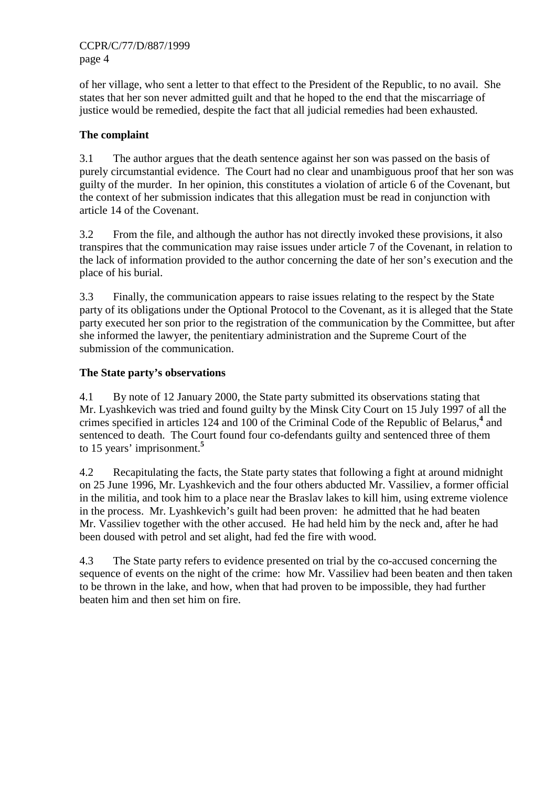of her village, who sent a letter to that effect to the President of the Republic, to no avail. She states that her son never admitted guilt and that he hoped to the end that the miscarriage of justice would be remedied, despite the fact that all judicial remedies had been exhausted.

# **The complaint**

3.1 The author argues that the death sentence against her son was passed on the basis of purely circumstantial evidence. The Court had no clear and unambiguous proof that her son was guilty of the murder. In her opinion, this constitutes a violation of article 6 of the Covenant, but the context of her submission indicates that this allegation must be read in conjunction with article 14 of the Covenant.

3.2 From the file, and although the author has not directly invoked these provisions, it also transpires that the communication may raise issues under article 7 of the Covenant, in relation to the lack of information provided to the author concerning the date of her son's execution and the place of his burial.

3.3 Finally, the communication appears to raise issues relating to the respect by the State party of its obligations under the Optional Protocol to the Covenant, as it is alleged that the State party executed her son prior to the registration of the communication by the Committee, but after she informed the lawyer, the penitentiary administration and the Supreme Court of the submission of the communication.

# **The State party's observations**

4.1 By note of 12 January 2000, the State party submitted its observations stating that Mr. Lyashkevich was tried and found guilty by the Minsk City Court on 15 July 1997 of all the crimes specified in articles 124 and 100 of the Criminal Code of the Republic of Belarus,**<sup>4</sup>** and sentenced to death. The Court found four co-defendants guilty and sentenced three of them to 15 years' imprisonment.**<sup>5</sup>**

4.2 Recapitulating the facts, the State party states that following a fight at around midnight on 25 June 1996, Mr. Lyashkevich and the four others abducted Mr. Vassiliev, a former official in the militia, and took him to a place near the Braslav lakes to kill him, using extreme violence in the process. Mr. Lyashkevich's guilt had been proven: he admitted that he had beaten Mr. Vassiliev together with the other accused. He had held him by the neck and, after he had been doused with petrol and set alight, had fed the fire with wood.

4.3 The State party refers to evidence presented on trial by the co-accused concerning the sequence of events on the night of the crime: how Mr. Vassiliev had been beaten and then taken to be thrown in the lake, and how, when that had proven to be impossible, they had further beaten him and then set him on fire.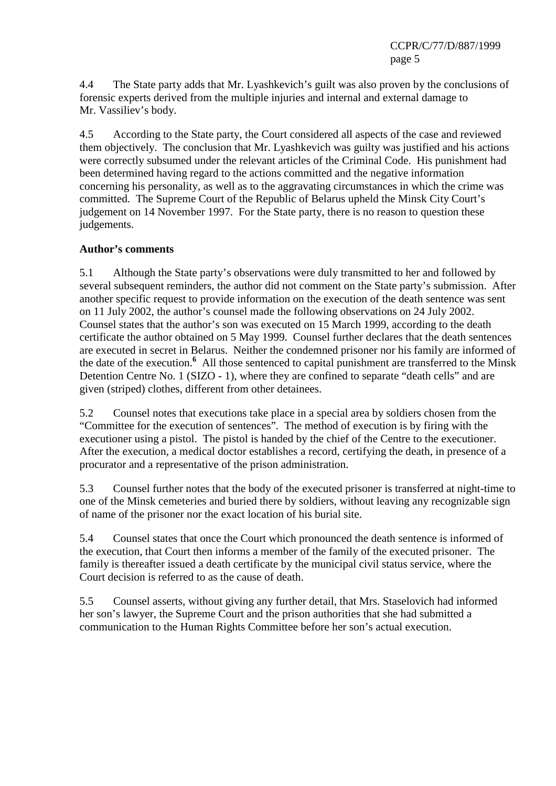4.4 The State party adds that Mr. Lyashkevich's guilt was also proven by the conclusions of forensic experts derived from the multiple injuries and internal and external damage to Mr. Vassiliev's body.

4.5 According to the State party, the Court considered all aspects of the case and reviewed them objectively. The conclusion that Mr. Lyashkevich was guilty was justified and his actions were correctly subsumed under the relevant articles of the Criminal Code. His punishment had been determined having regard to the actions committed and the negative information concerning his personality, as well as to the aggravating circumstances in which the crime was committed. The Supreme Court of the Republic of Belarus upheld the Minsk City Court's judgement on 14 November 1997. For the State party, there is no reason to question these judgements.

## **Author's comments**

5.1 Although the State party's observations were duly transmitted to her and followed by several subsequent reminders, the author did not comment on the State party's submission. After another specific request to provide information on the execution of the death sentence was sent on 11 July 2002, the author's counsel made the following observations on 24 July 2002. Counsel states that the author's son was executed on 15 March 1999, according to the death certificate the author obtained on 5 May 1999. Counsel further declares that the death sentences are executed in secret in Belarus. Neither the condemned prisoner nor his family are informed of the date of the execution.**<sup>6</sup>** All those sentenced to capital punishment are transferred to the Minsk Detention Centre No. 1 (SIZO - 1), where they are confined to separate "death cells" and are given (striped) clothes, different from other detainees.

5.2 Counsel notes that executions take place in a special area by soldiers chosen from the "Committee for the execution of sentences". The method of execution is by firing with the executioner using a pistol. The pistol is handed by the chief of the Centre to the executioner. After the execution, a medical doctor establishes a record, certifying the death, in presence of a procurator and a representative of the prison administration.

5.3 Counsel further notes that the body of the executed prisoner is transferred at night-time to one of the Minsk cemeteries and buried there by soldiers, without leaving any recognizable sign of name of the prisoner nor the exact location of his burial site.

5.4 Counsel states that once the Court which pronounced the death sentence is informed of the execution, that Court then informs a member of the family of the executed prisoner. The family is thereafter issued a death certificate by the municipal civil status service, where the Court decision is referred to as the cause of death.

5.5 Counsel asserts, without giving any further detail, that Mrs. Staselovich had informed her son's lawyer, the Supreme Court and the prison authorities that she had submitted a communication to the Human Rights Committee before her son's actual execution.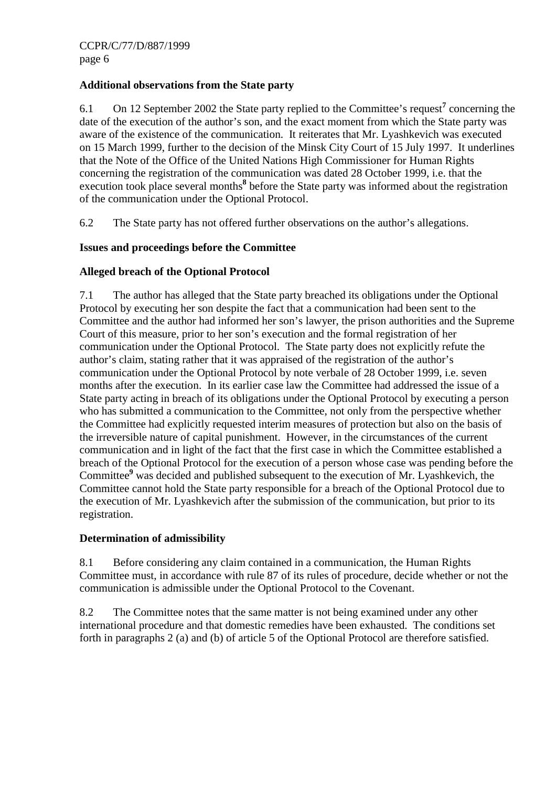# **Additional observations from the State party**

6.1 On 12 September 2002 the State party replied to the Committee's request<sup>7</sup> concerning the date of the execution of the author's son, and the exact moment from which the State party was aware of the existence of the communication. It reiterates that Mr. Lyashkevich was executed on 15 March 1999, further to the decision of the Minsk City Court of 15 July 1997. It underlines that the Note of the Office of the United Nations High Commissioner for Human Rights concerning the registration of the communication was dated 28 October 1999, i.e. that the execution took place several months<sup>8</sup> before the State party was informed about the registration of the communication under the Optional Protocol.

6.2 The State party has not offered further observations on the author's allegations.

# **Issues and proceedings before the Committee**

## **Alleged breach of the Optional Protocol**

7.1 The author has alleged that the State party breached its obligations under the Optional Protocol by executing her son despite the fact that a communication had been sent to the Committee and the author had informed her son's lawyer, the prison authorities and the Supreme Court of this measure, prior to her son's execution and the formal registration of her communication under the Optional Protocol. The State party does not explicitly refute the author's claim, stating rather that it was appraised of the registration of the author's communication under the Optional Protocol by note verbale of 28 October 1999, i.e. seven months after the execution. In its earlier case law the Committee had addressed the issue of a State party acting in breach of its obligations under the Optional Protocol by executing a person who has submitted a communication to the Committee, not only from the perspective whether the Committee had explicitly requested interim measures of protection but also on the basis of the irreversible nature of capital punishment. However, in the circumstances of the current communication and in light of the fact that the first case in which the Committee established a breach of the Optional Protocol for the execution of a person whose case was pending before the Committee<sup>9</sup> was decided and published subsequent to the execution of Mr. Lyashkevich, the Committee cannot hold the State party responsible for a breach of the Optional Protocol due to the execution of Mr. Lyashkevich after the submission of the communication, but prior to its registration.

## **Determination of admissibility**

8.1 Before considering any claim contained in a communication, the Human Rights Committee must, in accordance with rule 87 of its rules of procedure, decide whether or not the communication is admissible under the Optional Protocol to the Covenant.

8.2 The Committee notes that the same matter is not being examined under any other international procedure and that domestic remedies have been exhausted. The conditions set forth in paragraphs 2 (a) and (b) of article 5 of the Optional Protocol are therefore satisfied.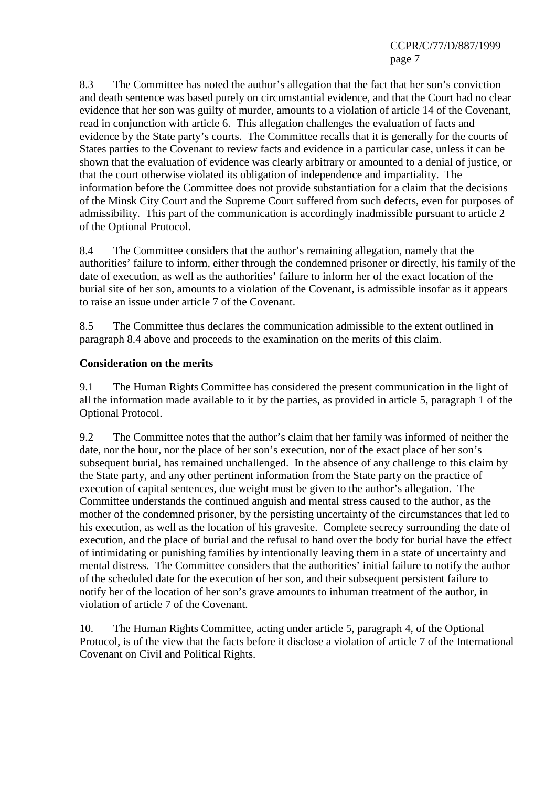8.3 The Committee has noted the author's allegation that the fact that her son's conviction and death sentence was based purely on circumstantial evidence, and that the Court had no clear evidence that her son was guilty of murder, amounts to a violation of article 14 of the Covenant, read in conjunction with article 6. This allegation challenges the evaluation of facts and evidence by the State party's courts. The Committee recalls that it is generally for the courts of States parties to the Covenant to review facts and evidence in a particular case, unless it can be shown that the evaluation of evidence was clearly arbitrary or amounted to a denial of justice, or that the court otherwise violated its obligation of independence and impartiality. The information before the Committee does not provide substantiation for a claim that the decisions of the Minsk City Court and the Supreme Court suffered from such defects, even for purposes of admissibility. This part of the communication is accordingly inadmissible pursuant to article 2 of the Optional Protocol.

8.4 The Committee considers that the author's remaining allegation, namely that the authorities' failure to inform, either through the condemned prisoner or directly, his family of the date of execution, as well as the authorities' failure to inform her of the exact location of the burial site of her son, amounts to a violation of the Covenant, is admissible insofar as it appears to raise an issue under article 7 of the Covenant.

8.5 The Committee thus declares the communication admissible to the extent outlined in paragraph 8.4 above and proceeds to the examination on the merits of this claim.

## **Consideration on the merits**

9.1 The Human Rights Committee has considered the present communication in the light of all the information made available to it by the parties, as provided in article 5, paragraph 1 of the Optional Protocol.

9.2 The Committee notes that the author's claim that her family was informed of neither the date, nor the hour, nor the place of her son's execution, nor of the exact place of her son's subsequent burial, has remained unchallenged. In the absence of any challenge to this claim by the State party, and any other pertinent information from the State party on the practice of execution of capital sentences, due weight must be given to the author's allegation. The Committee understands the continued anguish and mental stress caused to the author, as the mother of the condemned prisoner, by the persisting uncertainty of the circumstances that led to his execution, as well as the location of his gravesite. Complete secrecy surrounding the date of execution, and the place of burial and the refusal to hand over the body for burial have the effect of intimidating or punishing families by intentionally leaving them in a state of uncertainty and mental distress. The Committee considers that the authorities' initial failure to notify the author of the scheduled date for the execution of her son, and their subsequent persistent failure to notify her of the location of her son's grave amounts to inhuman treatment of the author, in violation of article 7 of the Covenant.

10. The Human Rights Committee, acting under article 5, paragraph 4, of the Optional Protocol, is of the view that the facts before it disclose a violation of article 7 of the International Covenant on Civil and Political Rights.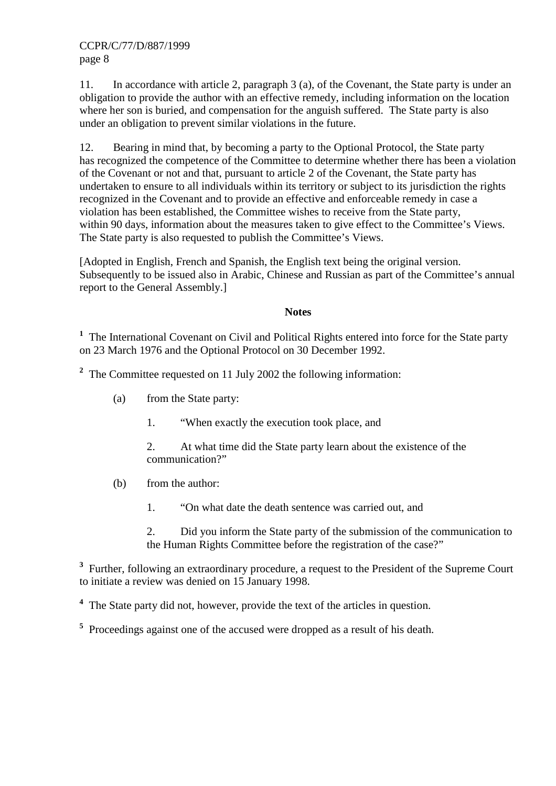CCPR/C/77/D/887/1999 page 8

11. In accordance with article 2, paragraph 3 (a), of the Covenant, the State party is under an obligation to provide the author with an effective remedy, including information on the location where her son is buried, and compensation for the anguish suffered. The State party is also under an obligation to prevent similar violations in the future.

12. Bearing in mind that, by becoming a party to the Optional Protocol, the State party has recognized the competence of the Committee to determine whether there has been a violation of the Covenant or not and that, pursuant to article 2 of the Covenant, the State party has undertaken to ensure to all individuals within its territory or subject to its jurisdiction the rights recognized in the Covenant and to provide an effective and enforceable remedy in case a violation has been established, the Committee wishes to receive from the State party, within 90 days, information about the measures taken to give effect to the Committee's Views. The State party is also requested to publish the Committee's Views.

[Adopted in English, French and Spanish, the English text being the original version. Subsequently to be issued also in Arabic, Chinese and Russian as part of the Committee's annual report to the General Assembly.]

#### **Notes**

<sup>1</sup> The International Covenant on Civil and Political Rights entered into force for the State party on 23 March 1976 and the Optional Protocol on 30 December 1992.

<sup>2</sup> The Committee requested on 11 July 2002 the following information:

- (a) from the State party:
	- 1. "When exactly the execution took place, and
	- 2. At what time did the State party learn about the existence of the communication?"
- (b) from the author:
	- 1. "On what date the death sentence was carried out, and
	- 2. Did you inform the State party of the submission of the communication to the Human Rights Committee before the registration of the case?"

<sup>3</sup> Further, following an extraordinary procedure, a request to the President of the Supreme Court to initiate a review was denied on 15 January 1998.

<sup>4</sup> The State party did not, however, provide the text of the articles in question.

<sup>5</sup> Proceedings against one of the accused were dropped as a result of his death.